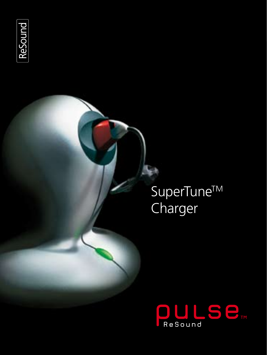

# SuperTune™ Charger

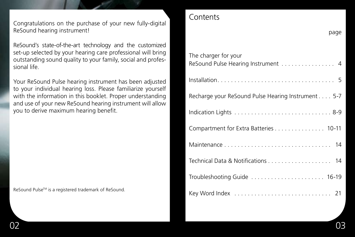Congratulations on the purchase of your new fully-digital ReSound hearing instrument!

ReSound's state-of-the-art technology and the customized set-up selected by your hearing care professional will bring outstanding sound quality to your family, social and professional life.

Your ReSound Pulse hearing instrument has been adjusted to your individual hearing loss. Please familiarize yourself with the information in this booklet. Proper understanding and use of your new ReSound hearing instrument will allow you to derive maximum hearing benefit.

ReSound Pulse™ is a registered trademark of ReSound.

#### **Contents**

| page                                                       |
|------------------------------------------------------------|
| The charger for your<br>ReSound Pulse Hearing Instrument 4 |
|                                                            |
| Recharge your ReSound Pulse Hearing Instrument 5-7         |
|                                                            |
| Compartment for Extra Batteries 10-11                      |
|                                                            |
| Technical Data & Notifications 14                          |
| Troubleshooting Guide  16-19                               |
|                                                            |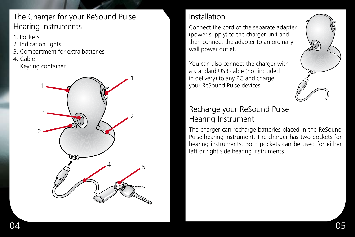# The Charger for your ReSound Pulse Hearing Instruments

- 1. Pockets
- 2. Indication lights
- 3. Compartment for extra batteries
- 4. Cable
- 5. Keyring container



## Installation

Connect the cord of the separate adapter (power supply) to the charger unit and then connect the adapter to an ordinary wall power outlet.

You can also connect the charger with a standard USB cable (not included in delivery) to any PC and charge your ReSound Pulse devices.

### Recharge your ReSound Pulse Hearing Instrument

The charger can recharge batteries placed in the ReSound Pulse hearing instrument. The charger has two pockets for hearing instruments. Both pockets can be used for either left or right side hearing instruments.

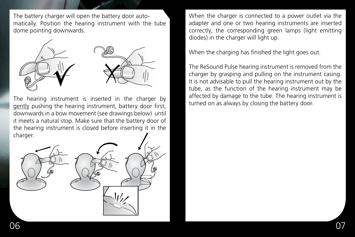The battery charger will open the battery door automatically. Position the hearing instrument with the tube dome pointing downwards.



The hearing instrument is inserted in the charger by gently pushing the hearing instrument, battery door first, downwards in a bow movement (see drawings below) until it meets a natural stop. Make sure that the battery door of the hearing instrument is closed before inserting it in the charger.



When the charger is connected to a power outlet via the adapter and one or two hearing instruments are inserted correctly, the corresponding green lamps (light emitting diodes) in the charger will light up.

When the charging has finished the light goes out.

The ReSound Pulse hearing instrument is removed from the charger by grasping and pulling on the instrument casing. It is not advisable to pull the hearing instrument out by the tube, as the function of the hearing instrument may be affected by damage to the tube. The hearing instrument is turned on as always by closing the battery door.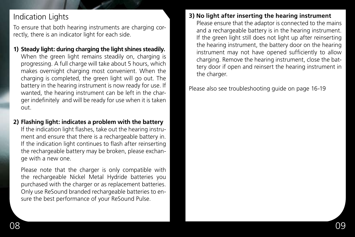### Indication Lights

To ensure that both hearing instruments are charging correctly, there is an indicator light for each side.

- **1) Steady light: during charging the light shines steadily.** When the green light remains steadily on, charging is progressing. A full charge will take about 5 hours, which makes overnight charging most convenient. When the charging is completed, the green light will go out. The battery in the hearing instrument is now ready for use. If wanted, the hearing instrument can be left in the charger indefinitely and will be ready for use when it is taken out.
- **2) Flashing light: indicates a problem with the battery** If the indication light flashes, take out the hearing instrument and ensure that there is a rechargeable battery in. If the indication light continues to flash after reinserting the rechargeable battery may be broken, please exchange with a new one.

 Please note that the charger is only compatible with the rechargeable Nickel Metal Hydride batteries you purchased with the charger or as replacement batteries. Only use ReSound branded rechargeable batteries to ensure the best performance of your ReSound Pulse.

#### **3) No light after inserting the hearing instrument**

 Please ensure that the adaptor is connected to the mains and a rechargeable battery is in the hearing instrument. If the green light still does not light up after reinserting the hearing instrument, the battery door on the hearing instrument may not have opened sufficiently to allow charging. Remove the hearing instrument, close the battery door if open and reinsert the hearing instrument in the charger.

Please also see troubleshooting guide on page 16-19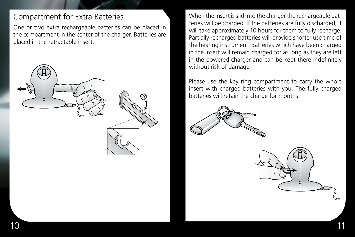### Compartment for Extra Batteries

One or two extra rechargeable batteries can be placed in the compartment in the center of the charger. Batteries are placed in the retractable insert.



When the insert is slid into the charger the rechargeable batteries will be charged. If the batteries are fully discharged, it will take approximately 10 hours for them to fully recharge. Partially recharged batteries will provide shorter use time of the hearing instrument. Batteries which have been charged in the insert will remain charged for as long as they are left in the powered charger and can be kept there indefinitely without risk of damage.

Please use the key ring compartment to carry the whole insert with charged batteries with you. The fully charged batteries will retain the charge for months.



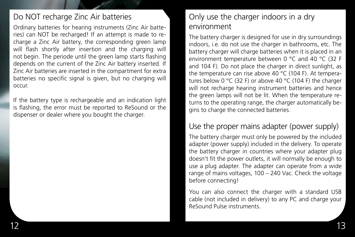#### Do NOT recharge Zinc Air batteries

Ordinary batteries for hearing instruments (Zinc Air batteries) can NOT be recharged! If an attempt is made to recharge a Zinc Air battery, the corresponding green lamp will flash shortly after insertion and the charging will not begin. The periode until the green lamp starts flashing depends on the current of the Zinc Air battery inserted. If Zinc Air batteries are inserted in the compartment for extra batteries no specific signal is given, but no charging will occur.

If the battery type is rechargeable and an indication light is flashing, the error must be reported to ReSound or the dispenser or dealer where you bought the charger.

# Only use the charger indoors in a dry environment

The battery charger is designed for use in dry surroundings indoors, i.e. do not use the charger in bathrooms, etc. The battery charger will charge batteries when it is placed in an environment temperature between 0 °C and 40 °C (32 F and 104 F). Do not place the charger in direct sunlight, as the temperature can rise above 40 °C (104 F). At temperatures below 0 °C (32 F) or above 40 °C (104 F) the charger will not recharge hearing instrument batteries and hence the green lamps will not be lit. When the temperature returns to the operating range, the charger automatically begins to charge the connected batteries.

#### Use the proper mains adapter (power supply)

The battery charger must only be powered by the included adapter (power supply) included in the delivery. To operate the battery charger in countries where your adapter plug doesn't fit the power outlets, it will normally be enough to use a plug adapter. The adapter can operate from a wide range of mains voltages, 100 – 240 Vac. Check the voltage before connecting!

You can also connect the charger with a standard USB cable (not included in delivery) to any PC and charge your ReSound Pulse instruments.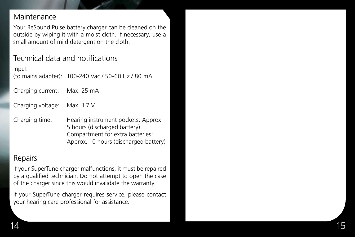#### **Maintenance**

Your ReSound Pulse battery charger can be cleaned on the outside by wiping it with a moist cloth. If necessary, use a small amount of mild detergent on the cloth.

### Technical data and notifications

Input (to mains adapter): 100-240 Vac / 50-60 Hz / 80 mA

Charging current: Max. 25 mA

Charging voltage: 1 . 7 V

Charging time: Hearing instrument pockets: Approx.<br>5 hours (discharged battery) Compartment for extra batteries: Approx. 10 hours (discharged battery)

#### Repairs

If your SuperTune charger malfunctions, it must be repaired by a qualified technician. Do not attempt to open the case of the charger since this would invalidate the warranty .

If your SuperTune charger requires service, please contact your hearing care professional for assistance .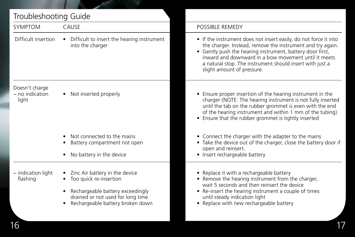| <b>SYMPTOM</b>                             | CAUSE                                                                                                                                                                 | POSSIBLE REMEDY                                                                                                                                                                                                                                                                                                                               |
|--------------------------------------------|-----------------------------------------------------------------------------------------------------------------------------------------------------------------------|-----------------------------------------------------------------------------------------------------------------------------------------------------------------------------------------------------------------------------------------------------------------------------------------------------------------------------------------------|
| Difficult insertion                        | Difficult to insert the hearing instrument<br>into the charger                                                                                                        | • If the instrument does not insert easily, do not force it into<br>the charger. Instead, remove the instrument and try again.<br>• Gently push the hearing instrument, battery door first,<br>inward and downward in a bow movement until it meets<br>a natural stop. The instrument should insert with just a<br>slight amount of pressure. |
| Doesn't charge<br>- no indication<br>light | Not inserted properly                                                                                                                                                 | • Ensure proper insertion of the hearing instrument in the<br>charger (NOTE: The hearing instrument is not fully inserted<br>until the tab on the rubber grommet is even with the end<br>of the hearing instrument and within 1 mm of the tubing)<br>• Ensure that the rubber grommet is tightly inserted                                     |
|                                            | Not connected to the mains<br>Battery compartment not open<br>No battery in the device                                                                                | • Connect the charger with the adapter to the mains<br>• Take the device out of the charger, close the battery door if<br>open and reinsert.<br>• Insert rechargeable battery                                                                                                                                                                 |
| - indication light<br>flashing             | Zinc Air battery in the device<br>Too quick re-insertion<br>Rechargeable battery exceedingly<br>drained or not used for long time<br>Rechargeable battery broken down | • Replace it with a rechargeable battery<br>• Remove the hearing instrument from the charger,<br>wait 5 seconds and then reinsert the device<br>• Re-insert the hearing instrument a couple of times<br>until steady indication light<br>• Replace with new rechargeable battery                                                              |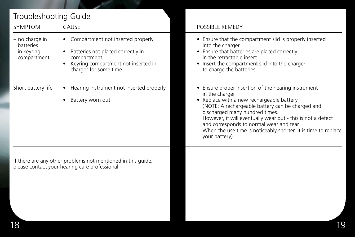# Troubleshooting Guide

| SYMPTOM                                                  | CAUSE                                                                                                                                                 | POSSIBLE REMEDY                                                                                                                                                                                                                                                                                                                                                                                        |
|----------------------------------------------------------|-------------------------------------------------------------------------------------------------------------------------------------------------------|--------------------------------------------------------------------------------------------------------------------------------------------------------------------------------------------------------------------------------------------------------------------------------------------------------------------------------------------------------------------------------------------------------|
| - no charge in<br>batteries<br>in keyring<br>compartment | Compartment not inserted properly<br>Batteries not placed correctly in<br>compartment<br>Keyring compartment not inserted in<br>charger for some time | • Ensure that the compartment slid is properly inserted<br>into the charger<br>• Ensure that batteries are placed correctly<br>in the retractable insert<br>• Insert the compartment slid into the charger<br>to charge the batteries                                                                                                                                                                  |
| Short battery life                                       | • Hearing instrument not inserted properly<br>Battery worn out                                                                                        | • Ensure proper insertion of the hearing instrument<br>in the charger<br>• Replace with a new rechargeable battery<br>(NOTE: A rechargeable battery can be charged and<br>discharged many hundred times.<br>However, it will eventually wear out - this is not a defect<br>and corresponds to normal wear and tear.<br>When the use time is noticeably shorter, it is time to replace<br>your battery) |
|                                                          | If there are any other problems not mentioned in this quide,<br>please contact your hearing care professional.                                        |                                                                                                                                                                                                                                                                                                                                                                                                        |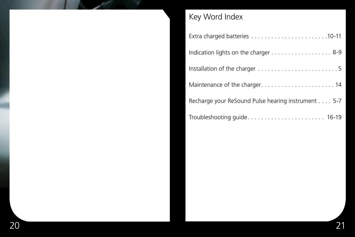

# Key Word Index

| Indication lights on the charger 8-9               |
|----------------------------------------------------|
|                                                    |
|                                                    |
| Recharge your ReSound Pulse hearing instrument 5-7 |
|                                                    |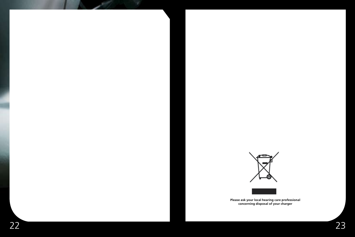



**Please ask your local hearing care professional concerning disposal of your charger**